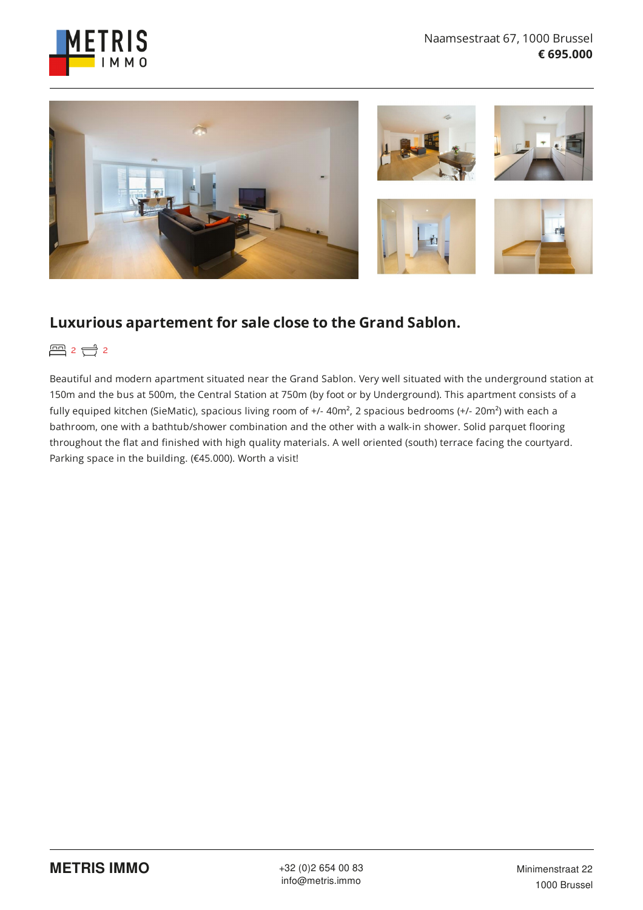



# **Luxurious apartement for sale close to the Grand Sablon.**

图 2 0 2

Beautiful and modern apartment situated near the Grand Sablon. Very well situated with the underground station at 150m and the bus at 500m, the Central Station at 750m (by foot or by Underground). This apartment consists of a fully equiped kitchen (SieMatic), spacious living room of +/- 40m<sup>2</sup>, 2 spacious bedrooms (+/- 20m<sup>2</sup>) with each a bathroom, one with a bathtub/shower combination and the other with a walk-in shower. Solid parquet flooring throughout the flat and finished with high quality materials. A well oriented (south) terrace facing the courtyard. Parking space in the building. (€45.000). Worth a visit!